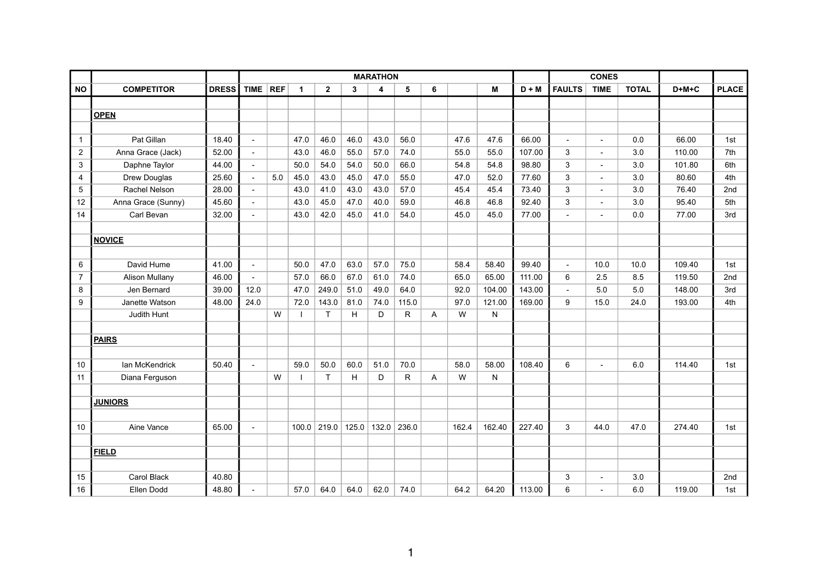|                |                    |              | <b>MARATHON</b>          |     |              |                |       |      |               |   |       | <b>CONES</b> |         |                |                |              |         |              |
|----------------|--------------------|--------------|--------------------------|-----|--------------|----------------|-------|------|---------------|---|-------|--------------|---------|----------------|----------------|--------------|---------|--------------|
| <b>NO</b>      | <b>COMPETITOR</b>  | <b>DRESS</b> | TIME REF                 |     | $\mathbf{1}$ | $\overline{2}$ | 3     | 4    | 5             | 6 |       | М            | $D + M$ | <b>FAULTS</b>  | <b>TIME</b>    | <b>TOTAL</b> | $D+M+C$ | <b>PLACE</b> |
|                |                    |              |                          |     |              |                |       |      |               |   |       |              |         |                |                |              |         |              |
|                | <b>OPEN</b>        |              |                          |     |              |                |       |      |               |   |       |              |         |                |                |              |         |              |
|                |                    |              |                          |     |              |                |       |      |               |   |       |              |         |                |                |              |         |              |
| $\overline{1}$ | Pat Gillan         | 18.40        | $\blacksquare$           |     | 47.0         | 46.0           | 46.0  | 43.0 | 56.0          |   | 47.6  | 47.6         | 66.00   | $\sim$         |                | 0.0          | 66.00   | 1st          |
| $\overline{c}$ | Anna Grace (Jack)  | 52.00        | $\mathcal{L}$            |     | 43.0         | 46.0           | 55.0  | 57.0 | 74.0          |   | 55.0  | 55.0         | 107.00  | 3              | $\blacksquare$ | 3.0          | 110.00  | 7th          |
| 3              | Daphne Taylor      | 44.00        | $\overline{\phantom{a}}$ |     | 50.0         | 54.0           | 54.0  | 50.0 | 66.0          |   | 54.8  | 54.8         | 98.80   | 3              |                | 3.0          | 101.80  | 6th          |
| 4              | Drew Douglas       | 25.60        | $\overline{\phantom{a}}$ | 5.0 | 45.0         | 43.0           | 45.0  | 47.0 | 55.0          |   | 47.0  | 52.0         | 77.60   | 3              |                | 3.0          | 80.60   | 4th          |
| 5              | Rachel Nelson      | 28.00        | $\overline{\phantom{a}}$ |     | 43.0         | 41.0           | 43.0  | 43.0 | 57.0          |   | 45.4  | 45.4         | 73.40   | 3              |                | 3.0          | 76.40   | 2nd          |
| 12             | Anna Grace (Sunny) | 45.60        | $\overline{\phantom{a}}$ |     | 43.0         | 45.0           | 47.0  | 40.0 | 59.0          |   | 46.8  | 46.8         | 92.40   | 3              | $\blacksquare$ | 3.0          | 95.40   | 5th          |
| 14             | Carl Bevan         | 32.00        | $\mathcal{L}$            |     | 43.0         | 42.0           | 45.0  | 41.0 | 54.0          |   | 45.0  | 45.0         | 77.00   |                | $\overline{a}$ | 0.0          | 77.00   | 3rd          |
|                |                    |              |                          |     |              |                |       |      |               |   |       |              |         |                |                |              |         |              |
|                | <b>NOVICE</b>      |              |                          |     |              |                |       |      |               |   |       |              |         |                |                |              |         |              |
|                |                    |              |                          |     |              |                |       |      |               |   |       |              |         |                |                |              |         |              |
| 6              | David Hume         | 41.00        | $\overline{\phantom{a}}$ |     | 50.0         | 47.0           | 63.0  | 57.0 | 75.0          |   | 58.4  | 58.40        | 99.40   | $\blacksquare$ | 10.0           | 10.0         | 109.40  | 1st          |
| $\overline{7}$ | Alison Mullany     | 46.00        | $\blacksquare$           |     | 57.0         | 66.0           | 67.0  | 61.0 | 74.0          |   | 65.0  | 65.00        | 111.00  | 6              | 2.5            | 8.5          | 119.50  | 2nd          |
| 8              | Jen Bernard        | 39.00        | 12.0                     |     | 47.0         | 249.0          | 51.0  | 49.0 | 64.0          |   | 92.0  | 104.00       | 143.00  |                | 5.0            | 5.0          | 148.00  | 3rd          |
| 9              | Janette Watson     | 48.00        | 24.0                     |     | 72.0         | 143.0          | 81.0  | 74.0 | 115.0         |   | 97.0  | 121.00       | 169.00  | 9              | 15.0           | 24.0         | 193.00  | 4th          |
|                | Judith Hunt        |              |                          | W   |              | T.             | H     | D    | R             | A | W     | N            |         |                |                |              |         |              |
|                |                    |              |                          |     |              |                |       |      |               |   |       |              |         |                |                |              |         |              |
|                | <b>PAIRS</b>       |              |                          |     |              |                |       |      |               |   |       |              |         |                |                |              |         |              |
|                |                    |              |                          |     |              |                |       |      |               |   |       |              |         |                |                |              |         |              |
| 10             | lan McKendrick     | 50.40        | $\overline{a}$           |     | 59.0         | 50.0           | 60.0  | 51.0 | 70.0          |   | 58.0  | 58.00        | 108.40  | 6              |                | 6.0          | 114.40  | 1st          |
| 11             | Diana Ferguson     |              |                          | W   |              | $\mathsf{T}$   | H     | D    | R             | Α | W     | N            |         |                |                |              |         |              |
|                |                    |              |                          |     |              |                |       |      |               |   |       |              |         |                |                |              |         |              |
|                | <b>JUNIORS</b>     |              |                          |     |              |                |       |      |               |   |       |              |         |                |                |              |         |              |
|                |                    |              |                          |     |              |                |       |      |               |   |       |              |         |                |                |              |         |              |
| 10             | Aine Vance         | 65.00        | $\overline{a}$           |     | 100.0        | 219.0          | 125.0 |      | $132.0$ 236.0 |   | 162.4 | 162.40       | 227.40  | 3              | 44.0           | 47.0         | 274.40  | 1st          |
|                |                    |              |                          |     |              |                |       |      |               |   |       |              |         |                |                |              |         |              |
|                | <b>FIELD</b>       |              |                          |     |              |                |       |      |               |   |       |              |         |                |                |              |         |              |
|                |                    |              |                          |     |              |                |       |      |               |   |       |              |         |                |                |              |         |              |
| 15             | Carol Black        | 40.80        |                          |     |              |                |       |      |               |   |       |              |         | 3              |                | 3.0          |         | 2nd          |
| 16             | Ellen Dodd         | 48.80        | $\overline{\phantom{a}}$ |     | 57.0         | 64.0           | 64.0  | 62.0 | 74.0          |   | 64.2  | 64.20        | 113.00  | 6              |                | 6.0          | 119.00  | 1st          |